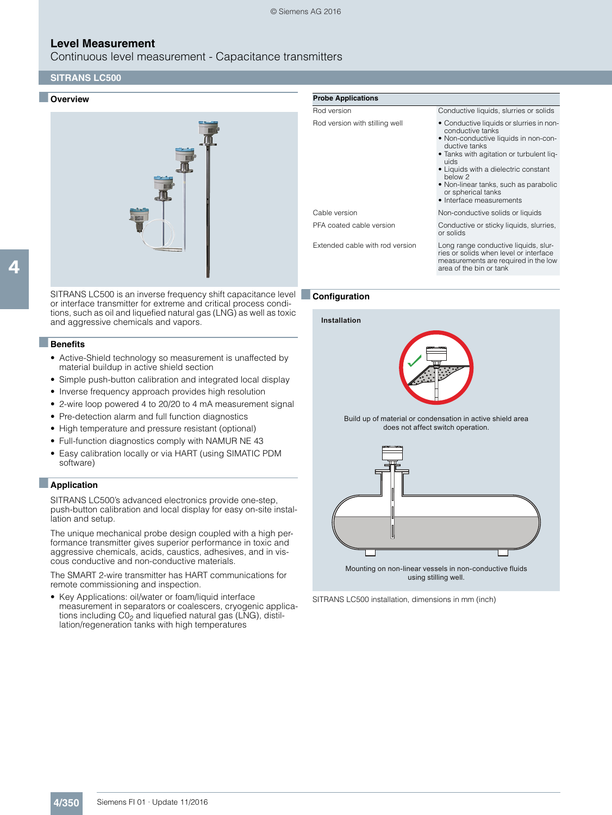Continuous level measurement - Capacitance transmitters

# **SITRANS LC500**

#### ■ **Overview**



SITRANS LC500 is an inverse frequency shift capacitance level ■**Configuration** or interface transmitter for extreme and critical process conditions, such as oil and liquefied natural gas (LNG) as well as toxic and aggressive chemicals and vapors.

#### ■**Benefits**

4

- Active-Shield technology so measurement is unaffected by material buildup in active shield section
- Simple push-button calibration and integrated local display
- Inverse frequency approach provides high resolution
- 2-wire loop powered 4 to 20/20 to 4 mA measurement signal
- Pre-detection alarm and full function diagnostics
- High temperature and pressure resistant (optional)
- Full-function diagnostics comply with NAMUR NE 43
- Easy calibration locally or via HART (using SIMATIC PDM software)

#### ■**Application**

SITRANS LC500's advanced electronics provide one-step, push-button calibration and local display for easy on-site installation and setup.

The unique mechanical probe design coupled with a high performance transmitter gives superior performance in toxic and aggressive chemicals, acids, caustics, adhesives, and in viscous conductive and non-conductive materials.

The SMART 2-wire transmitter has HART communications for remote commissioning and inspection.

• Key Applications: oil/water or foam/liquid interface measurement in separators or coalescers, cryogenic applications including  $CO<sub>2</sub>$  and liquefied natural gas (LNG), distillation/regeneration tanks with high temperatures

| <b>Probe Applications</b>       |                                                                                                                                                                                                                                                                                                                         |
|---------------------------------|-------------------------------------------------------------------------------------------------------------------------------------------------------------------------------------------------------------------------------------------------------------------------------------------------------------------------|
| Rod version                     | Conductive liquids, slurries or solids                                                                                                                                                                                                                                                                                  |
| Rod version with stilling well  | • Conductive liquids or slurries in non-<br>conductive tanks<br>• Non-conductive liquids in non-con-<br>ductive tanks<br>• Tanks with agitation or turbulent lig-<br>uids<br>• Liquids with a dielectric constant<br>below 2<br>• Non-linear tanks, such as parabolic<br>or spherical tanks<br>• Interface measurements |
| Cable version                   | Non-conductive solids or liquids                                                                                                                                                                                                                                                                                        |
| PFA coated cable version        | Conductive or sticky liquids, slurries,<br>or solids                                                                                                                                                                                                                                                                    |
| Extended cable with rod version | Long range conductive liquids, slur-<br>ries or solids when level or interface<br>measurements are required in the low<br>area of the bin or tank                                                                                                                                                                       |

**Installation**



Build up of material or condensation in active shield area does not affect switch operation.



SITRANS LC500 installation, dimensions in mm (inch)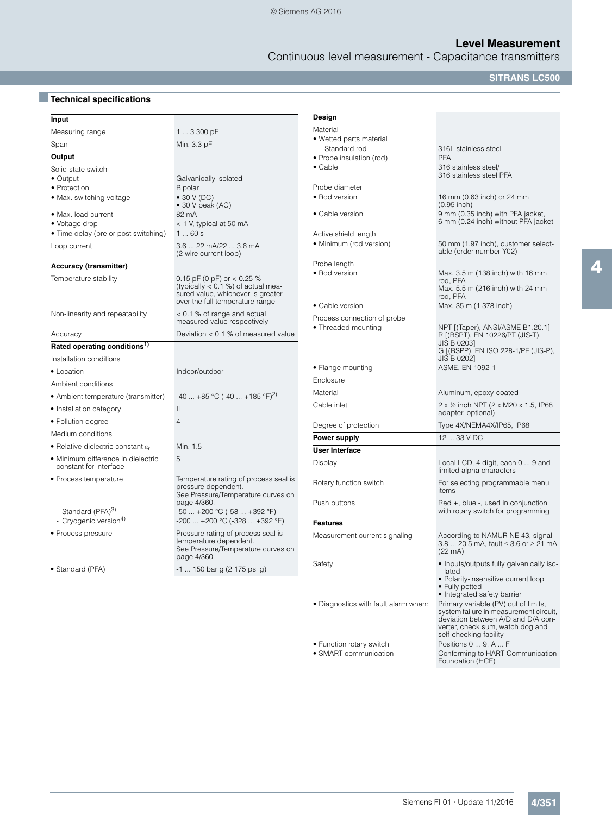Continuous level measurement - Capacitance transmitters

**SITRANS LC500**

# ■**Technical specifications**

| Input                                                           |                                                                                                                                              | Design                                                                |                                                                                                                                                                                    |
|-----------------------------------------------------------------|----------------------------------------------------------------------------------------------------------------------------------------------|-----------------------------------------------------------------------|------------------------------------------------------------------------------------------------------------------------------------------------------------------------------------|
| Measuring range                                                 | 1  3 300 pF                                                                                                                                  | Material                                                              |                                                                                                                                                                                    |
| Span                                                            | Min. 3.3 pF                                                                                                                                  | • Wetted parts material                                               |                                                                                                                                                                                    |
| Output                                                          |                                                                                                                                              | - Standard rod<br>• Probe insulation (rod)                            | 316L stainless steel<br><b>PFA</b>                                                                                                                                                 |
| Solid-state switch<br>• Output                                  | Galvanically isolated                                                                                                                        | $\bullet$ Cable                                                       | 316 stainless steel/<br>316 stainless steel PFA                                                                                                                                    |
| • Protection<br>• Max. switching voltage<br>· Max. load current | Bipolar<br>$\bullet$ 30 V (DC)<br>$\bullet$ 30 V peak (AC)<br>82 mA                                                                          | Probe diameter<br>• Rod version<br>• Cable version                    | 16 mm (0.63 inch) or 24 mm<br>$(0.95$ inch)<br>9 mm (0.35 inch) with PFA jacket,                                                                                                   |
| • Voltage drop<br>• Time delay (pre or post switching)          | $<$ 1 V, typical at 50 mA<br>160s                                                                                                            | Active shield length                                                  | 6 mm (0.24 inch) without PFA jacket                                                                                                                                                |
| Loop current                                                    | 3.6  22 mA/22  3.6 mA<br>(2-wire current loop)                                                                                               | • Minimum (rod version)                                               | 50 mm (1.97 inch), customer select-<br>able (order number Y02)                                                                                                                     |
| <b>Accuracy (transmitter)</b>                                   |                                                                                                                                              | Probe length                                                          |                                                                                                                                                                                    |
| Temperature stability                                           | 0.15 pF (0 pF) or $<$ 0.25 %<br>(typically $< 0.1$ %) of actual mea-<br>sured value, whichever is greater<br>over the full temperature range | • Rod version                                                         | Max. 3.5 m (138 inch) with 16 mm<br>rod, PFA<br>Max. 5.5 m (216 inch) with 24 mm<br>rod, PFA                                                                                       |
| Non-linearity and repeatability                                 | < 0.1 % of range and actual<br>measured value respectively                                                                                   | • Cable version<br>Process connection of probe<br>• Threaded mounting | Max. 35 m (1 378 inch)<br>NPT [(Taper), ANSI/ASME B1.20.1]                                                                                                                         |
| Accuracy                                                        | Deviation < 0.1 % of measured value                                                                                                          |                                                                       | R ((BSPT), EN 10226/PT (JIS-T),                                                                                                                                                    |
| Rated operating conditions <sup>1)</sup>                        |                                                                                                                                              |                                                                       | JIS B 0203]<br>G [(BSPP), EN ISO 228-1/PF (JIS-P),                                                                                                                                 |
| Installation conditions                                         |                                                                                                                                              |                                                                       | JIS B 0202]                                                                                                                                                                        |
| • Location                                                      | Indoor/outdoor                                                                                                                               | • Flange mounting                                                     | ASME, EN 1092-1                                                                                                                                                                    |
| Ambient conditions                                              |                                                                                                                                              | Enclosure                                                             |                                                                                                                                                                                    |
| • Ambient temperature (transmitter)                             | $-40$ +85 °C (-40  +185 °F) <sup>2)</sup>                                                                                                    | Material                                                              | Aluminum, epoxy-coated                                                                                                                                                             |
| • Installation category                                         | $\mathbf{H}$                                                                                                                                 | Cable inlet                                                           | 2 x 1/2 inch NPT (2 x M20 x 1.5, IP68<br>adapter, optional)                                                                                                                        |
| • Pollution degree                                              | $\overline{4}$                                                                                                                               | Degree of protection                                                  | Type 4X/NEMA4X/IP65, IP68                                                                                                                                                          |
| Medium conditions                                               |                                                                                                                                              | Power supply                                                          | 12  33 V DC                                                                                                                                                                        |
| • Relative dielectric constant $\varepsilon_r$                  | Min. 1.5                                                                                                                                     | <b>User Interface</b>                                                 |                                                                                                                                                                                    |
| • Minimum difference in dielectric<br>constant for interface    | 5                                                                                                                                            | Display                                                               | Local LCD, 4 digit, each 0  9 and<br>limited alpha characters                                                                                                                      |
| • Process temperature                                           | Temperature rating of process seal is<br>pressure dependent.<br>See Pressure/Temperature curves on                                           | Rotary function switch                                                | For selecting programmable menu<br>items                                                                                                                                           |
| - Standard (PFA) <sup>3)</sup>                                  | page 4/360.<br>-50  +200 °C (-58  +392 °F)                                                                                                   | Push buttons                                                          | $Red +$ , blue -, used in conjunction<br>with rotary switch for programming                                                                                                        |
| - Cryogenic version <sup>4)</sup>                               | $-200$ $+200$ °C ( $-328$ $+392$ °F)                                                                                                         | <b>Features</b>                                                       |                                                                                                                                                                                    |
| • Process pressure                                              | Pressure rating of process seal is<br>temperature dependent.<br>See Pressure/Temperature curves on<br>page 4/360.                            | Measurement current signaling                                         | According to NAMUR NE 43, signal<br>3.8  20.5 mA, fault ≤ 3.6 or ≥ 21 mA<br>$(22 \text{ mA})$                                                                                      |
| • Standard (PFA)                                                | -1  150 bar g (2 175 psi g)                                                                                                                  | Safety                                                                | • Inputs/outputs fully galvanically iso-<br>lated<br>· Polarity-insensitive current loop<br>• Fully potted<br>• Integrated safety barrier                                          |
|                                                                 |                                                                                                                                              | • Diagnostics with fault alarm when:                                  | Primary variable (PV) out of limits,<br>system failure in measurement circuit,<br>deviation between A/D and D/A con-<br>verter, check sum, watch dog and<br>self-checking facility |

• Function rotary switch Positions 0 ... 9, A ... F

• SMART communication Conforming to HART Communication<br>Foundation (HCF)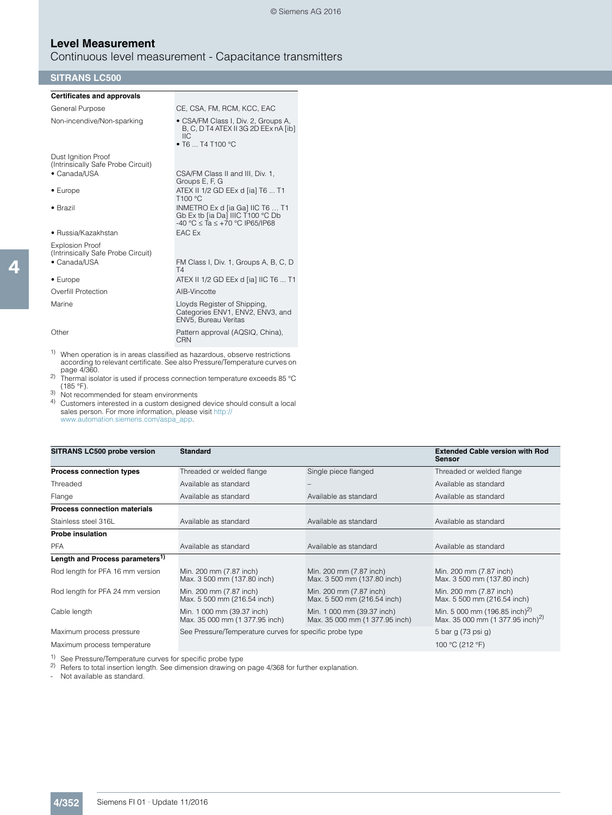Continuous level measurement - Capacitance transmitters

## **SITRANS LC500**

| <b>Certificates and approvals</b>                            |                                                                                                                |
|--------------------------------------------------------------|----------------------------------------------------------------------------------------------------------------|
| General Purpose                                              | CE, CSA, FM, RCM, KCC, EAC                                                                                     |
| Non-incendive/Non-sparking                                   | • CSA/FM Class I, Div. 2, Groups A,<br>B, C, D T4 ATEX II 3G 2D EEx nA [ib]<br>IIC.<br>• T6 $\dots$ T4 T100 °C |
| Dust Ignition Proof<br>(Intrinsically Safe Probe Circuit)    |                                                                                                                |
| • Canada/USA                                                 | CSA/FM Class II and III, Div. 1,<br>Groups E, F, G                                                             |
| $\bullet$ Europe                                             | ATEX II 1/2 GD EEx d [ia] T6  T1<br>T <sub>100</sub> °C                                                        |
| $\bullet$ Brazil                                             | INMETRO Ex d [ia Ga] IIC T6  T1<br>Gb Ex tb [ia Da] IIIC T100 °C Db<br>-40 °C $\le$ Ta $\le$ +70 °C IP65/IP68  |
| • Russia/Kazakhstan                                          | EAC Ex                                                                                                         |
| <b>Explosion Proof</b><br>(Intrinsically Safe Probe Circuit) |                                                                                                                |
| • Canada/USA                                                 | FM Class I, Div. 1, Groups A, B, C, D<br>T4                                                                    |
| $\bullet$ Europe                                             | ATEX II 1/2 GD EEx d [ia] IIC T6  T1                                                                           |
| Overfill Protection                                          | AIB-Vincotte                                                                                                   |
| Marine                                                       | Lloyds Register of Shipping,<br>Categories ENV1, ENV2, ENV3, and<br>ENV5, Bureau Veritas                       |
| Other                                                        | Pattern approval (AQSIQ, China),<br>CRN                                                                        |

1) When operation is in areas classified as hazardous, observe restrictions according to relevant certificate. See also Pressure/Temperature curves on page 4/360. 2) Thermal isolator is used if process connection temperature exceeds 85 °C

 $(185 °F)$ .

 $3)$  Not recommended for steam environments<br>4) Customers interested in a custom designed

4) Customers interested in a custom designed device should consult a local sales person. For more information, please visit http:// www.automation.siemens.com/aspa\_app.

| SITRANS LC500 probe version                 | <b>Standard</b>                                              |                                                              | <b>Extended Cable version with Rod</b><br><b>Sensor</b>                                   |
|---------------------------------------------|--------------------------------------------------------------|--------------------------------------------------------------|-------------------------------------------------------------------------------------------|
| <b>Process connection types</b>             | Threaded or welded flange                                    | Single piece flanged                                         | Threaded or welded flange                                                                 |
| Threaded                                    | Available as standard                                        |                                                              | Available as standard                                                                     |
| Flange                                      | Available as standard                                        | Available as standard                                        | Available as standard                                                                     |
| <b>Process connection materials</b>         |                                                              |                                                              |                                                                                           |
| Stainless steel 316L                        | Available as standard                                        | Available as standard                                        | Available as standard                                                                     |
| <b>Probe insulation</b>                     |                                                              |                                                              |                                                                                           |
| <b>PFA</b>                                  | Available as standard                                        | Available as standard                                        | Available as standard                                                                     |
| Length and Process parameters <sup>1)</sup> |                                                              |                                                              |                                                                                           |
| Rod length for PFA 16 mm version            | Min. 200 mm (7.87 inch)<br>Max. 3 500 mm (137.80 inch)       | Min. 200 mm (7.87 inch)<br>Max. 3 500 mm (137.80 inch)       | Min. 200 mm (7.87 inch)<br>Max. 3 500 mm (137.80 inch)                                    |
| Rod length for PFA 24 mm version            | Min. 200 mm (7.87 inch)<br>Max. 5 500 mm (216.54 inch)       | Min. 200 mm (7.87 inch)<br>Max. 5 500 mm (216.54 inch)       | Min. 200 mm (7.87 inch)<br>Max. 5 500 mm (216.54 inch)                                    |
| Cable length                                | Min. 1 000 mm (39.37 inch)<br>Max. 35 000 mm (1 377.95 inch) | Min. 1 000 mm (39.37 inch)<br>Max. 35 000 mm (1 377.95 inch) | Min. 5 000 mm (196.85 inch) <sup>2)</sup><br>Max. 35 000 mm (1 377.95 inch) <sup>2)</sup> |
| Maximum process pressure                    | See Pressure/Temperature curves for specific probe type      |                                                              | 5 bar g (73 psi g)                                                                        |
| Maximum process temperature                 |                                                              |                                                              | 100 °C (212 °F)                                                                           |

1) See Pressure/Temperature curves for specific probe type

 $^{2)}$  Refers to total insertion length. See dimension drawing on page 4/368 for further explanation.

- Not available as standard.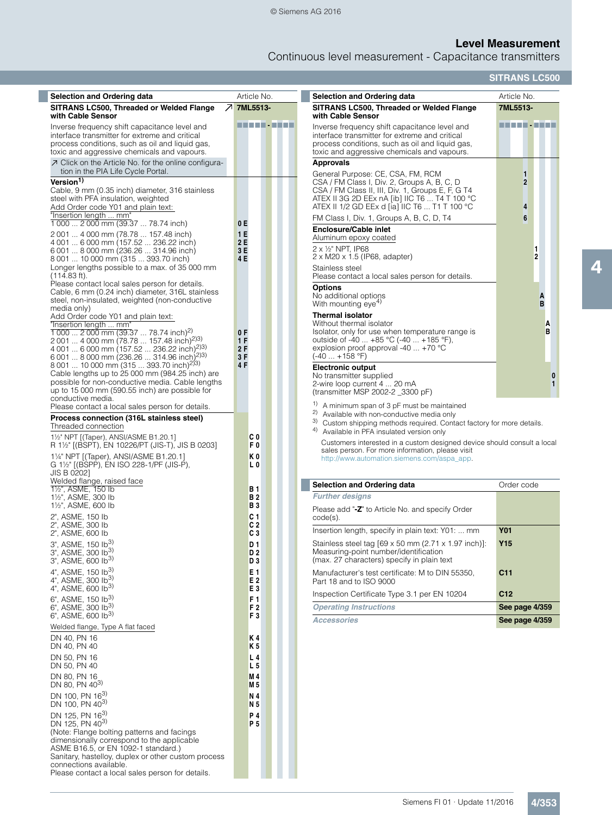# **Level Measurement**

Continuous level measurement - Capacitance transmitters

**SITRANS LC500**

| <b>Selection and Ordering data</b>                                                                                                                                                                                                                                                                    |                                 | Article No.                  | <b>Selection and Ordering data</b>                                                                                                                                                                                                                                                   | Article No.                   |
|-------------------------------------------------------------------------------------------------------------------------------------------------------------------------------------------------------------------------------------------------------------------------------------------------------|---------------------------------|------------------------------|--------------------------------------------------------------------------------------------------------------------------------------------------------------------------------------------------------------------------------------------------------------------------------------|-------------------------------|
| SITRANS LC500, Threaded or Welded Flange<br>with Cable Sensor                                                                                                                                                                                                                                         |                                 | フ 7ML5513-                   | SITRANS LC500, Threaded or Welded Flange<br>with Cable Sensor                                                                                                                                                                                                                        | 7ML5513-                      |
| Inverse frequency shift capacitance level and<br>interface transmitter for extreme and critical<br>process conditions, such as oil and liquid gas,<br>toxic and aggressive chemicals and vapours.                                                                                                     |                                 | ----------                   | Inverse frequency shift capacitance level and<br>interface transmitter for extreme and critical<br>process conditions, such as oil and liquid gas,<br>toxic and aggressive chemicals and vapours.                                                                                    | ----------                    |
| ○ Click on the Article No. for the online configura-                                                                                                                                                                                                                                                  |                                 |                              | <b>Approvals</b>                                                                                                                                                                                                                                                                     |                               |
| tion in the PIA Life Cycle Portal.<br>Version <sup>1)</sup><br>Cable, 9 mm (0.35 inch) diameter, 316 stainless<br>steel with PFA insulation, weighted<br>Add Order code Y01 and plain text:<br>"Insertion length  mm"                                                                                 |                                 |                              | General Purpose: CE, CSA, FM, RCM<br>CSA / FM Class I, Div. 2, Groups A, B, C, D<br>CSA / FM Class II, III, Div. 1, Groups E, F, G T4<br>ATEX II 3G 2D EEx nA [ib] IIC T6  T4 T 100 °C<br>ATEX II 1/2 GD EEx d [ia] IIC T6  T1 T 100 °C<br>FM Class I, Div. 1, Groups A, B, C, D, T4 | 1<br>$\overline{2}$<br>4<br>6 |
| 1 000  2 000 mm (39.37  78.74 inch)<br>2001  4000 mm (78.78  157.48 inch)<br>4 001  6 000 mm (157.52  236.22 inch)<br>6 001  8 000 mm (236.26  314.96 inch)<br>8 001  10 000 mm (315  393.70 inch)                                                                                                    | 0 E<br>1 E<br>2 E<br>3 E<br>4 E |                              | <b>Enclosure/Cable inlet</b><br>Aluminum epoxy coated<br>$2 \times \frac{1}{2}$ NPT, IP68<br>$2 \times M20 \times 1.5$ (IP68, adapter)                                                                                                                                               | 2                             |
| Longer lengths possible to a max. of 35 000 mm<br>$(114.83 ft)$ .                                                                                                                                                                                                                                     |                                 |                              | Stainless steel<br>Please contact a local sales person for details.                                                                                                                                                                                                                  |                               |
| Please contact local sales person for details.<br>Cable, 6 mm (0.24 inch) diameter, 316L stainless<br>steel, non-insulated, weighted (non-conductive<br>media only)                                                                                                                                   |                                 |                              | <b>Options</b><br>No additional options<br>With mounting eye <sup>4)</sup>                                                                                                                                                                                                           | B                             |
| Add Order code Y01 and plain text:<br>"Insertion length  mm"<br>$\frac{1000}{2}$ 2 000 mm (39.37  78.74 inch) <sup>2)</sup><br>2 001  4 000 mm (78.78  157.48 inch) <sup>2)3)</sup><br>4 001  6 000 mm (157.52  236.22 inch) <sup>2)3)</sup><br>6 001  8 000 mm (236.26  314.96 inch) <sup>2)3)</sup> | 0 F<br>1F<br>2F<br>3F           |                              | <b>Thermal isolator</b><br>Without thermal isolator<br>Isolator, only for use when temperature range is<br>outside of -40  +85 °C (-40  +185 °F),<br>explosion proof approval -40 $\dots$ +70 °C<br>$(-40  +158 °F)$                                                                 | Α<br>В                        |
| 8 001  10 000 mm (315  393.70 inch) <sup>2)3)</sup><br>Cable lengths up to 25 000 mm (984.25 inch) are<br>possible for non-conductive media. Cable lengths<br>up to 15 000 mm (590.55 inch) are possible for<br>conductive media.                                                                     | 4 F                             |                              | <b>Electronic output</b><br>No transmitter supplied<br>2-wire loop current 4  20 mA<br>(transmitter MSP 2002-2 _3300 pF)                                                                                                                                                             |                               |
| Please contact a local sales person for details.<br>Process connection (316L stainless steel)<br>Threaded connection                                                                                                                                                                                  |                                 |                              | <sup>1)</sup> A minimum span of 3 pF must be maintained<br><sup>2</sup> Available with non-conductive media only<br>3) Custom shipping methods required. Contact factory for more details.<br>4)<br>Available in PFA insulated version only                                          |                               |
| 11/2" NPT [(Taper), ANSI/ASME B1.20.1]<br>R 1½" [(BSPT), EN 10226/PT (JIS-T), JIS B 0203]<br>11/4" NPT [(Taper), ANSI/ASME B1.20.1]<br>G 11/2" [(BSPP), EN ISO 228-1/PF (JIS-P),                                                                                                                      |                                 | C 0<br>F0<br>K0<br>LΟ        | Customers interested in a custom designed device should consult a local<br>sales person. For more information, please visit<br>http://www.automation.siemens.com/aspa_app.                                                                                                           |                               |
| JIS B 0202]<br>Welded flange, raised face                                                                                                                                                                                                                                                             |                                 |                              | <b>Selection and Ordering data</b>                                                                                                                                                                                                                                                   | Order code                    |
| 1 <sup>1</sup> / <sub>2</sub> ", ASME, 150 lb<br>11/2", ASME, 300 lb                                                                                                                                                                                                                                  |                                 | <b>B</b> 1<br><b>B2</b>      | <b>Further designs</b>                                                                                                                                                                                                                                                               |                               |
| 11/2", ASME, 600 lb<br>2", ASME, 150 lb                                                                                                                                                                                                                                                               |                                 | B 3<br>C 1                   | Please add "-Z" to Article No. and specify Order<br>$code(s)$ .                                                                                                                                                                                                                      |                               |
| 2", ASME, 300 lb<br>2", ASME, 600 lb                                                                                                                                                                                                                                                                  |                                 | C2<br>CЗ                     | Insertion length, specify in plain text: Y01:  mm                                                                                                                                                                                                                                    | <b>Y01</b>                    |
| $3^{\circ}$ , ASME, 150 lb <sup>3)</sup><br>3", ASME, 300 lb <sup>3)</sup><br>3", ASME, 600 lb <sup>3)</sup>                                                                                                                                                                                          |                                 | D 1<br>D <sub>2</sub><br>D 3 | Stainless steel tag [69 x 50 mm (2.71 x 1.97 inch)]:<br>Measuring-point number/identification<br>(max. 27 characters) specify in plain text                                                                                                                                          | <b>Y15</b>                    |
| 4", ASME, 150 lb <sup>3)</sup><br>4", ASME, 300 lb <sup>3)</sup><br>4", ASME, 600 $lb^{3}$                                                                                                                                                                                                            |                                 | E 1<br>E 2                   | Manufacturer's test certificate: M to DIN 55350,<br>Part 18 and to ISO 9000                                                                                                                                                                                                          | C <sub>11</sub>               |
| $6$ ", ASME, 150 lb <sup>3)</sup>                                                                                                                                                                                                                                                                     |                                 | E3<br>F 1                    | Inspection Certificate Type 3.1 per EN 10204                                                                                                                                                                                                                                         | C12                           |
| 6", ASME, 300 lb <sup>3)</sup><br>6", ASME, 600 lb <sup>3)</sup>                                                                                                                                                                                                                                      |                                 | F <sub>2</sub><br>F3         | <b>Operating Instructions</b>                                                                                                                                                                                                                                                        | See page 4/359                |
| Welded flange, Type A flat faced                                                                                                                                                                                                                                                                      |                                 |                              | <b>Accessories</b>                                                                                                                                                                                                                                                                   | See page 4/359                |
| DN 40, PN 16<br>DN 40, PN 40                                                                                                                                                                                                                                                                          |                                 | K 4<br>K 5                   |                                                                                                                                                                                                                                                                                      |                               |
| DN 50, PN 16<br>DN 50, PN 40                                                                                                                                                                                                                                                                          |                                 | L <sub>4</sub><br>L 5        |                                                                                                                                                                                                                                                                                      |                               |
| DN 80, PN 16<br>DN 80, PN 40 <sup>3)</sup>                                                                                                                                                                                                                                                            |                                 | M 4<br>M 5                   |                                                                                                                                                                                                                                                                                      |                               |
| DN 100, PN 163)<br>DN 100, PN 40 <sup>3)</sup>                                                                                                                                                                                                                                                        |                                 | N 4<br>N 5                   |                                                                                                                                                                                                                                                                                      |                               |
| DN 125, PN 16 <sup>3)</sup><br>DN 125, PN 40 <sup>3)</sup>                                                                                                                                                                                                                                            |                                 | P 4<br>P 5                   |                                                                                                                                                                                                                                                                                      |                               |
| (Note: Flange bolting patterns and facings                                                                                                                                                                                                                                                            |                                 |                              |                                                                                                                                                                                                                                                                                      |                               |
| dimensionally correspond to the applicable<br>ASME B16.5, or EN 1092-1 standard.)<br>Sanitary, hastelloy, duplex or other custom process<br>connections available.                                                                                                                                    |                                 |                              |                                                                                                                                                                                                                                                                                      |                               |

Please contact a local sales person for details.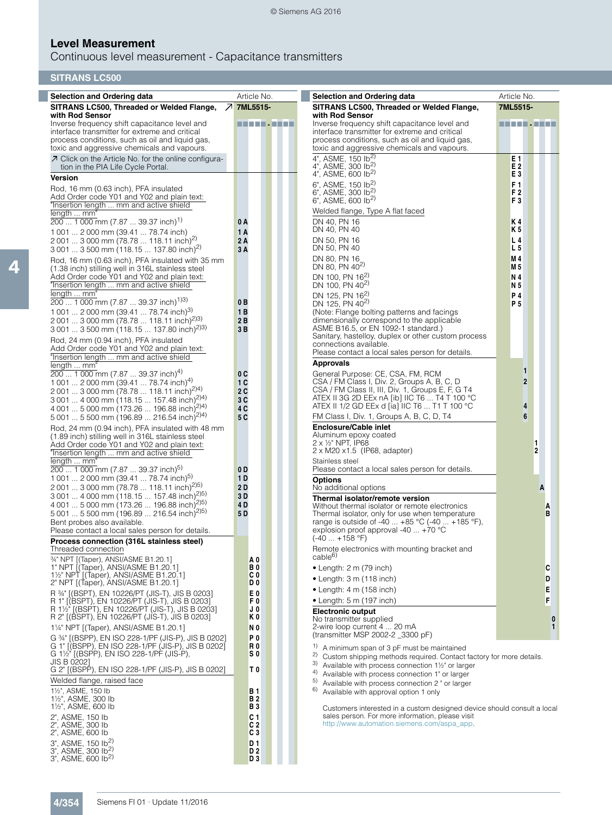# **Level Measurement**

Continuous level measurement - Capacitance transmitters

| <b>SITRANS LC500</b>                                                                                          |                         |                                                                                                                                      |                                  |
|---------------------------------------------------------------------------------------------------------------|-------------------------|--------------------------------------------------------------------------------------------------------------------------------------|----------------------------------|
| <b>Selection and Ordering data</b>                                                                            | Article No.             | <b>Selection and Ordering data</b>                                                                                                   | Article No.                      |
| SITRANS LC500, Threaded or Welded Flange,                                                                     | フ 7ML5515-              | SITRANS LC500, Threaded or Welded Flange,                                                                                            | 7ML5515-                         |
| with Rod Sensor<br>Inverse frequency shift capacitance level and                                              | ----------              | with Rod Sensor<br>Inverse frequency shift capacitance level and                                                                     | ----------                       |
| interface transmitter for extreme and critical<br>process conditions, such as oil and liquid gas,             |                         | interface transmitter for extreme and critical<br>process conditions, such as oil and liquid gas,                                    |                                  |
| toxic and aggressive chemicals and vapours.                                                                   |                         | toxic and aggressive chemicals and vapours.                                                                                          |                                  |
| ○ Click on the Article No. for the online configura-                                                          |                         | 4", ASME, $150$ lb <sup>2)</sup><br>4", ASME, 300 $16^{2}$ )                                                                         | E 1<br>E2                        |
| tion in the PIA Life Cycle Portal.<br><b>Version</b>                                                          |                         | 4", ASME, 600 lb <sup>2)</sup>                                                                                                       | E <sub>3</sub>                   |
| Rod, 16 mm (0.63 inch), PFA insulated                                                                         |                         | 6", ASME, 150 lb <sup>2)</sup><br>6", ASME, 300 lb <sup>2)</sup>                                                                     | F <sub>1</sub><br>F <sub>2</sub> |
| Add Order code Y01 and Y02 and plain text:<br>"Insertion length  mm and active shield                         |                         | 6", ASME, 600 lb <sup>2)</sup>                                                                                                       | F <sub>3</sub>                   |
| length  mm"                                                                                                   |                         | Welded flange, Type A flat faced                                                                                                     |                                  |
| $200$ 1 000 mm (7.87  39.37 inch) <sup>1)</sup>                                                               | 0 A<br>1 A              | DN 40, PN 16<br>DN 40, PN 40                                                                                                         | Κ4<br>K 5                        |
| 1 001  2 000 mm (39.41  78.74 inch)<br>2 001  3 000 mm (78.78  118.11 inch) <sup>2)</sup>                     | 2 A                     | DN 50, PN 16                                                                                                                         | L 4                              |
| 3 001  3 500 mm (118.15  137.80 inch) <sup>2)</sup>                                                           | 3A                      | DN 50, PN 40                                                                                                                         | L 5                              |
| Rod, 16 mm (0.63 inch), PFA insulated with 35 mm<br>(1.38 inch) stilling well in 316L stainless steel         |                         | DN 80, PN 16<br>DN 80, PN $40^{2}$                                                                                                   | M 4<br>M 5                       |
| Add Order code Y01 and Y02 and plain text:                                                                    |                         | DN 100, PN 16 <sup>2)</sup>                                                                                                          | N 4                              |
| "Insertion length  mm and active shield<br>length  mm"                                                        |                         | DN 100, PN 40 <sup>2)</sup><br>DN 125, PN 16 <sup>2)</sup>                                                                           | N 5<br>P 4                       |
| $200$ 1 000 mm (7.87  39.37 inch) <sup>1)3)</sup>                                                             | 0 B                     | DN 125, PN 40 <sup>2)</sup>                                                                                                          | P 5                              |
| 1 001  2 000 mm (39.41  78.74 inch) <sup>3)</sup><br>2 001  3 000 mm (78.78  118.11 inch) <sup>2)3)</sup>     | 1B<br>2 B               | (Note: Flange bolting patterns and facings<br>dimensionally correspond to the applicable                                             |                                  |
| 3 001  3 500 mm (118.15  137.80 inch) <sup>2)3)</sup>                                                         | 3B                      | ASME B16.5, or EN 1092-1 standard.)<br>Sanitary, hastelloy, duplex or other custom process                                           |                                  |
| Rod, 24 mm (0.94 inch), PFA insulated<br>Add Order code Y01 and Y02 and plain text:                           |                         | connections available.                                                                                                               |                                  |
| "Insertion length  mm and active shield                                                                       |                         | Please contact a local sales person for details.                                                                                     |                                  |
| length  mm"<br>$200$ 1 000 mm (7.87  39.37 inch) <sup>4)</sup>                                                | 0 C                     | <b>Approvals</b><br>General Purpose: CE, CSA, FM, RCM                                                                                | 1                                |
| 1 001  2 000 mm (39.41  78.74 inch) <sup>4)</sup>                                                             | 1 C                     | CSA / FM Class I, Div. 2, Groups A, B, C, D                                                                                          | $\overline{2}$                   |
| 2 001  3 000 mm (78.78  118.11 inch) <sup>2)4)</sup><br>3 001  4 000 mm (118.15  157.48 inch) <sup>2)4)</sup> | 2 C<br>3 C              | CSA / FM Class II, III, Div. 1, Groups E, F, G T4<br>ATEX II 3G 2D EEx nA [ib] IIC T6  T4 T 100 °C                                   |                                  |
| 4 001  5 000 mm (173.26  196.88 inch) <sup>2)4)</sup>                                                         | 4 C                     | ATEX II 1/2 GD EEx d [ia] IIC T6  T1 T 100 °C                                                                                        | 4                                |
| 5 001  5 500 mm (196.89  216.54 inch) <sup>2)4)</sup><br>Rod, 24 mm (0.94 inch), PFA insulated with 48 mm     | 5 C                     | FM Class I, Div. 1, Groups A, B, C, D, T4<br><b>Enclosure/Cable inlet</b>                                                            | 6                                |
| (1.89 inch) stilling well in 316L stainless steel                                                             |                         | Aluminum epoxy coated<br>$2 \times \frac{1}{2}$ NPT, IP68                                                                            |                                  |
| Add Order code Y01 and Y02 and plain text:<br>"Insertion length  mm and active shield                         |                         | $2 \times M20 \times 1.5$ (IP68, adapter)                                                                                            | 2                                |
| length  mm"                                                                                                   |                         | Stainless steel<br>Please contact a local sales person for details.                                                                  |                                  |
| $200$ 1 000 mm (7.87  39.37 inch) <sup>5)</sup><br>1 001  2 000 mm (39.41  78.74 inch) <sup>5)</sup>          | 0 D<br>1 D              | <b>Options</b>                                                                                                                       |                                  |
| 2 001  3 000 mm (78.78  118.11 inch) <sup>2)5)</sup><br>3 001  4 000 mm (118.15  157.48 inch) <sup>2)5)</sup> | 2 D<br>3 D              | No additional options                                                                                                                | A                                |
| 4 001  5 000 mm (173.26  196.88 inch) <sup>2)5)</sup>                                                         | 4 D                     | Thermal isolator/remote version<br>Without thermal isolator or remote electronics                                                    |                                  |
| 5 001  5 500 mm (196.89  216.54 inch) <sup>2)5)</sup>                                                         | 5 D                     | Thermal isolator, only for use when temperature                                                                                      | B                                |
| Bent probes also available.<br>Please contact a local sales person for details.                               |                         | range is outside of -40  +85 °C (-40  +185 °F),<br>explosion proof approval -40  +70 °C                                              |                                  |
| Process connection (316L stainless steel)                                                                     |                         | $(-40  +158 °F)$                                                                                                                     |                                  |
| Threaded connection<br>34" NPT [(Taper), ANSI/ASME B1.20.1]                                                   | A <sub>0</sub>          | Remote electronics with mounting bracket and<br>cable <sup>6)</sup>                                                                  |                                  |
| 1" NPT [(Taper), ANSI/ASME B1.20.1]<br>1 <sup>1</sup> / <sub>2</sub> " NPT [(Taper), ANSI/ASME B1.20.1]       | ВO<br>СO                | $\bullet$ Length: 2 m (79 inch)                                                                                                      | C                                |
| 2" NPT [(Taper), ANSI/ASME B1.20.1]                                                                           | D 0                     | $\bullet$ Length: 3 m (118 inch)                                                                                                     | D                                |
| R 34" [(BSPT), EN 10226/PT (JIS-T), JIS B 0203]<br>R 1" [(BSPT), EN 10226/PT (JIS-T), JIS B 0203]             | E0<br>F0                | $\bullet$ Length: 4 m (158 inch)<br>$\bullet$ Length: 5 m (197 inch)                                                                 | E<br>F                           |
| R 1½ <sup>"</sup> [(BSPT), EN 10226/PT (JIS-T), JIS B 0203]                                                   | J O                     | <b>Electronic output</b>                                                                                                             |                                  |
| R 2" [(BSPT), EN 10226/PT (JIS-T), JIS B 0203]<br>11/4" NPT [(Taper), ANSI/ASME B1.20.1]                      | ΚO<br>N O               | No transmitter supplied<br>2-wire loop current 4  20 mA                                                                              | $\bf{0}$<br>$\mathbf{1}$         |
| G 34" [(BSPP), EN ISO 228-1/PF (JIS-P), JIS B 0202]                                                           | P <sub>0</sub>          | (transmitter MSP 2002-2 3300 pF)                                                                                                     |                                  |
| G 1" [(BSPP), EN ISO 228-1/PF (JIS-P), JIS B 0202]<br>G 1½" [(BSPP), EN ISO 228-1/PF (JIS-P),                 | R0<br>S 0               | 1)<br>A minimum span of 3 pF must be maintained                                                                                      |                                  |
| JIS B 0202]                                                                                                   |                         | 2)<br>Custom shipping methods required. Contact factory for more details.<br>3)<br>Available with process connection 11/2" or larger |                                  |
| G 2" [(BSPP), EN ISO 228-1/PF (JIS-P), JIS B 0202]<br>Welded flange, raised face                              | T <sub>0</sub>          | 4)<br>Available with process connection 1" or larger<br>5)                                                                           |                                  |
| 11/2", ASME, 150 lb                                                                                           | B 1                     | Available with process connection 2 " or larger<br>6)<br>Available with approval option 1 only                                       |                                  |
| 11/2", ASME, 300 lb<br>11/2", ASME, 600 lb                                                                    | B 2<br>B 3              |                                                                                                                                      |                                  |
| 2", ASME, 150 lb                                                                                              | C 1                     | Customers interested in a custom designed device should consult a local<br>sales person. For more information, please visit          |                                  |
| 2", ASME, 300 lb<br>2", ASME, 600 lb                                                                          | C <sub>2</sub><br>$C_3$ | http://www.automation.siemens.com/aspa_app.                                                                                          |                                  |

3", ASME, 150 Ib2) **D 1** 3", ASME, 300 Ib2) **D 2** 3", ASME, 600 Ib2) **D 3**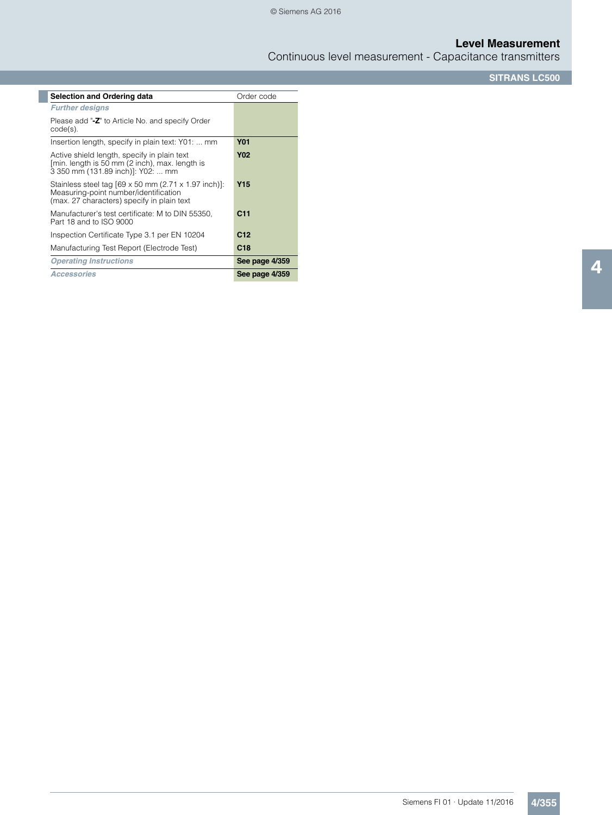Continuous level measurement - Capacitance transmitters

**SITRANS LC500**

| <b>Selection and Ordering data</b>                                                                                                                        | Order code      |
|-----------------------------------------------------------------------------------------------------------------------------------------------------------|-----------------|
| <b>Further designs</b>                                                                                                                                    |                 |
| Please add "-Z" to Article No. and specify Order<br>$code(s)$ .                                                                                           |                 |
| Insertion length, specify in plain text: Y01:  mm                                                                                                         | <b>Y01</b>      |
| Active shield length, specify in plain text<br>[min. length is 50 mm (2 inch), max. length is<br>3 350 mm (131.89 inch)]: Y02:  mm                        | <b>Y02</b>      |
| Stainless steel tag $[69 \times 50$ mm $(2.71 \times 1.97$ inch)]:<br>Measuring-point number/identification<br>(max. 27 characters) specify in plain text | Y15             |
| Manufacturer's test certificate: M to DIN 55350,<br>Part 18 and to ISO 9000                                                                               | C <sub>11</sub> |
| Inspection Certificate Type 3.1 per EN 10204                                                                                                              | C <sub>12</sub> |
| Manufacturing Test Report (Electrode Test)                                                                                                                | C18             |
| <b>Operating Instructions</b>                                                                                                                             | See page 4/359  |
| <b>Accessories</b>                                                                                                                                        | See page 4/359  |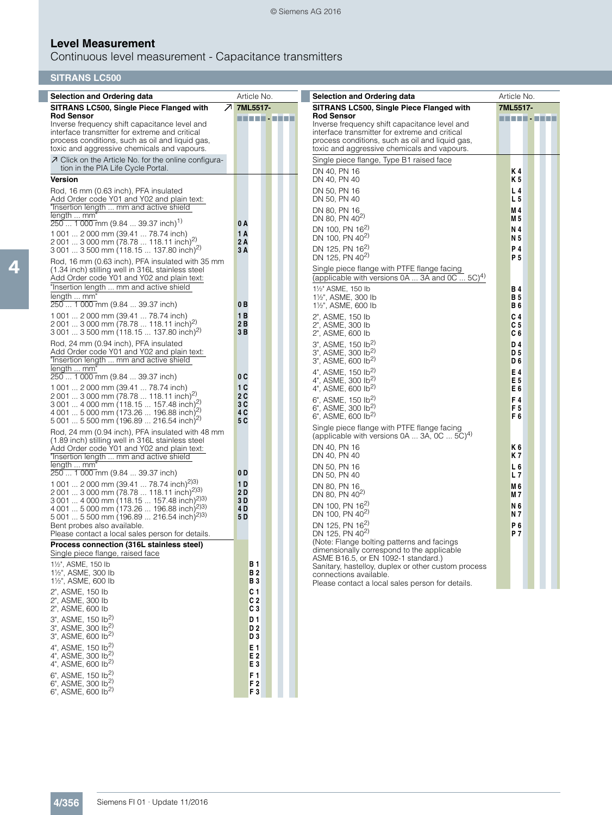# **Level Measurement**

Continuous level measurement - Capacitance transmitters

| <b>Selection and Ordering data</b>                                                                             | Article No.          | <b>Selection and Ordering data</b>                                                                          | Article No.           |
|----------------------------------------------------------------------------------------------------------------|----------------------|-------------------------------------------------------------------------------------------------------------|-----------------------|
| SITRANS LC500, Single Piece Flanged with<br>$\mathcal{Z}$                                                      | 7ML5517-             | SITRANS LC500, Single Piece Flanged with                                                                    | 7ML5517-              |
| <b>Rod Sensor</b>                                                                                              | n an Dùbhl           | <b>Rod Sensor</b>                                                                                           |                       |
| Inverse frequency shift capacitance level and<br>interface transmitter for extreme and critical                |                      | Inverse frequency shift capacitance level and<br>interface transmitter for extreme and critical             |                       |
| process conditions, such as oil and liquid gas,                                                                |                      | process conditions, such as oil and liquid gas,                                                             |                       |
| toxic and aggressive chemicals and vapours.                                                                    |                      | toxic and aggressive chemicals and vapours.                                                                 |                       |
| ○ Click on the Article No. for the online configura-                                                           |                      | Single piece flange, Type B1 raised face                                                                    |                       |
| tion in the PIA Life Cycle Portal.<br><b>Version</b>                                                           |                      | DN 40, PN 16<br>DN 40, PN 40                                                                                | K 4<br>K 5            |
| Rod, 16 mm (0.63 inch), PFA insulated                                                                          |                      | DN 50, PN 16                                                                                                | L 4                   |
| Add Order code Y01 and Y02 and plain text:                                                                     |                      | DN 50, PN 40                                                                                                | L 5                   |
| "Insertion length  mm and active shield                                                                        |                      | DN 80, PN 16                                                                                                | M 4                   |
| length  mm'<br>$2501000$ mm (9.84  39.37 inch) <sup>1)</sup>                                                   | 0 A                  | DN 80, PN 40 <sup>2)</sup>                                                                                  | M 5                   |
| 1 001  2 000 mm (39.41  78.74 inch)                                                                            | 1 A                  | DN 100, PN 16 <sup>2)</sup>                                                                                 | N 4                   |
| 2 001  3 000 mm (78.78  118.11 inch) <sup>2)</sup>                                                             | 2 A                  | DN 100, PN 40 <sup>2)</sup>                                                                                 | N 5                   |
| $30013500$ mm (118.15  137.80 inch) <sup>2)</sup>                                                              | 3 A                  | DN 125, PN 16 <sup>2)</sup><br>DN 125, PN 40 <sup>2)</sup>                                                  | P 4<br>P 5            |
| Rod, 16 mm (0.63 inch), PFA insulated with 35 mm                                                               |                      | Single piece flange with PTFE flange facing                                                                 |                       |
| (1.34 inch) stilling well in 316L stainless steel<br>Add Order code Y01 and Y02 and plain text:                |                      | (applicable with versions 0A  3A and 0C $5C)^{4}$ )                                                         |                       |
| "Insertion length  mm and active shield                                                                        |                      | 11/2" ASME, 150 lb                                                                                          | <b>B4</b>             |
| length  mm"                                                                                                    |                      | 11/2", ASME, 300 lb                                                                                         | B 5                   |
| 250  1 000 mm (9.84  39.37 inch)                                                                               | 0 B                  | 1½", ASME, 600 lb                                                                                           | B 6                   |
| 1 001  2 000 mm (39.41  78.74 inch)<br>2 001  3 000 mm (78.78  118.11 inch) <sup>2)</sup>                      | 1 B<br>2 B           | 2", ASME, 150 lb<br>2", ASME, 300 lb                                                                        | C <sub>4</sub><br>C 5 |
| 3 001  3 500 mm (118.15  137.80 inch) <sup>2)</sup>                                                            | 3 B                  | 2", ASME, 600 lb                                                                                            | C 6                   |
| Rod, 24 mm (0.94 inch), PFA insulated                                                                          |                      | $3^{\circ}$ , ASME, 150 lb <sup>2)</sup>                                                                    | D 4                   |
| Add Order code Y01 and Y02 and plain text:                                                                     |                      | 3", ASME, 300 lb <sup>2)</sup>                                                                              | D 5                   |
| "Insertion length  mm and active shield<br>length  mm'                                                         |                      | 3", ASME, 600 lb <sup>2)</sup>                                                                              | D 6                   |
| 250  1 000 mm (9.84  39.37 inch)                                                                               | 0 C                  | 4", ASME, 150 lb <sup>2)</sup><br>4", ASME, 300 lb <sup>2)</sup>                                            | E 4<br>E 5            |
| 1 001  2 000 mm (39.41  78.74 inch)                                                                            | 1C                   | 4", ASME, 600 $1b^{2}$                                                                                      | Ε6                    |
| 2 001  3 000 mm (78.78  118.11 inch) <sup>2)</sup><br>$3001$ 4 000 mm (118.15  157.48 inch) <sup>2)</sup>      | 2 C<br>3 C           | 6", ASME, 150 lb <sup>2)</sup>                                                                              | F4                    |
| 4 001  5 000 mm (173.26  196.88 inch) <sup>2)</sup>                                                            | 4 C                  | 6", ASME, 300 lb <sup>2)</sup>                                                                              | F 5                   |
| $50015500$ mm (196.89  216.54 inch) <sup>2)</sup>                                                              | 5 C                  | $6"$ , ASME, 600 lb <sup>2)</sup>                                                                           | F 6                   |
| Rod, 24 mm (0.94 inch), PFA insulated with 48 mm                                                               |                      | Single piece flange with PTFE flange facing<br>(applicable with versions $0A$ 3A, $0C$ $5C$ ) <sup>4)</sup> |                       |
| (1.89 inch) stilling well in 316L stainless steel<br>Add Order code Y01 and Y02 and plain text:                |                      | DN 40, PN 16                                                                                                | K 6                   |
| "Insertion length  mm and active shield                                                                        |                      | DN 40, PN 40                                                                                                | K 7                   |
| length  mm'                                                                                                    |                      | DN 50, PN 16                                                                                                | L 6                   |
| 250  1 000 mm (9.84  39.37 inch)                                                                               | 0 D                  | DN 50, PN 40                                                                                                | L 7                   |
| 1 001  2 000 mm (39.41  78.74 inch) <sup>2)3)</sup><br>2 001  3 000 mm (78.78  118.11 inch) <sup>2)3)</sup>    | 1 D<br>2 D           | DN 80, PN 16<br>DN 80, PN 40 <sup>2)</sup>                                                                  | M 6<br>M 7            |
| 3 001  4 000 mm (118.15  157.48 inch) <sup>2)3)</sup>                                                          | 3 D                  | DN 100, PN 16 <sup>2)</sup>                                                                                 | N 6                   |
| 4 001  5 000 mm (173.26  196.88 inch) <sup>2)3)</sup><br>5 001  5 500 mm (196.89  216.54 inch) <sup>2)3)</sup> | 4 D<br>5 D           | DN 100, PN 40 <sup>2)</sup>                                                                                 | N 7                   |
| Bent probes also available.                                                                                    |                      | DN 125, PN 16 <sup>2)</sup>                                                                                 | P 6                   |
| Please contact a local sales person for details.                                                               |                      | DN 125, PN 40 <sup>2)</sup>                                                                                 | P 7                   |
| Process connection (316L stainless steel)                                                                      |                      | (Note: Flange bolting patterns and facings<br>dimensionally correspond to the applicable                    |                       |
| Single piece flange, raised face<br>11/2", ASME, 150 lb                                                        |                      | ASME B16.5, or EN 1092-1 standard.)                                                                         |                       |
| 11/2", ASME, 300 lb                                                                                            | B 1<br>B 2           | Sanitary, hastelloy, duplex or other custom process<br>connections available.                               |                       |
| 11/2", ASME, 600 lb                                                                                            | B 3                  | Please contact a local sales person for details.                                                            |                       |
| 2", ASME, 150 lb                                                                                               | C 1                  |                                                                                                             |                       |
| 2", ASME, 300 lb                                                                                               | C <sub>2</sub><br> C |                                                                                                             |                       |
| 2", ASME, 600 lb<br>$3^{\circ}$ , ASME, 150 lb <sup>2)</sup>                                                   | D 1                  |                                                                                                             |                       |
| 3", ASME, 300 lb <sup>2)</sup>                                                                                 | D2                   |                                                                                                             |                       |
| 3", ASME, 600 lb <sup>2)</sup>                                                                                 | D <sub>3</sub>       |                                                                                                             |                       |

4

4", ASME, 150 Ib2) **E 1** 4", ASME, 300 Ib2) **E 2** 4", ASME, 600 Ib2) **E 3** 6", ASME, 150 Ib2) **F 1** 6", ASME, 300 Ib2) **F 2** 6", ASME, 600 lb<sup>2)</sup> **F** 3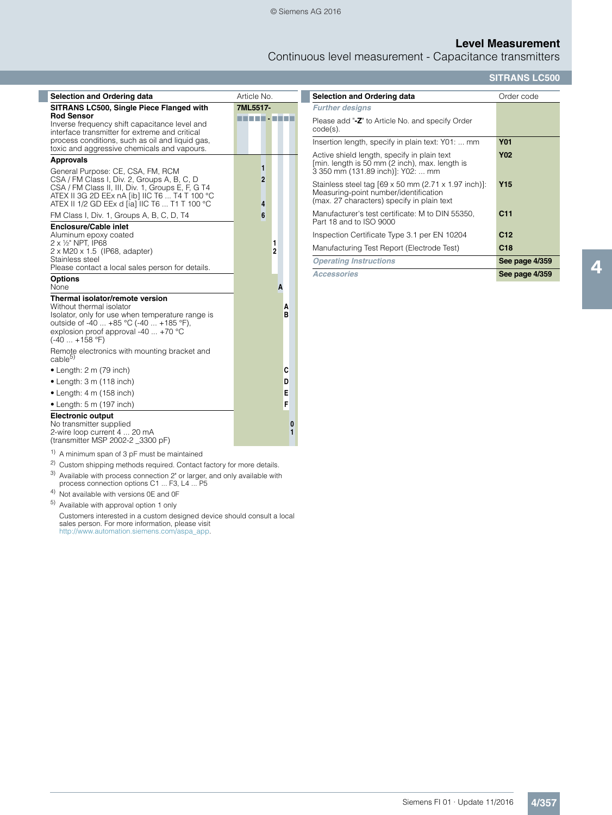Continuous level measurement - Capacitance transmitters

## **SITRANS LC500**

| Selection and Ordering data                                                                                                                                                                                                             | Article No.              |
|-----------------------------------------------------------------------------------------------------------------------------------------------------------------------------------------------------------------------------------------|--------------------------|
| SITRANS LC500, Single Piece Flanged with                                                                                                                                                                                                | 7ML5517-                 |
| <b>Rod Sensor</b><br>Inverse frequency shift capacitance level and<br>interface transmitter for extreme and critical<br>process conditions, such as oil and liquid gas,<br>toxic and aggressive chemicals and vapours.                  | --------                 |
| <b>Approvals</b>                                                                                                                                                                                                                        |                          |
| General Purpose: CE, CSA, FM, RCM<br>CSA / FM Class I, Div. 2, Groups A, B, C, D<br>CSA / FM Class II, III, Div. 1, Groups E, F, G T4<br>ATEX II 3G 2D EEx nA [ib] IIC T6  T4 T 100 °C<br>ATEX II 1/2 GD EEx d [ia] IIC T6  T1 T 100 °C | 1<br>$\overline{2}$<br>4 |
| FM Class I, Div. 1, Groups A, B, C, D, T4                                                                                                                                                                                               | 6                        |
| <b>Enclosure/Cable inlet</b><br>Aluminum epoxy coated<br>2 x 1/2" NPT, IP68<br>2 x M20 x 1.5 (IP68, adapter)<br>Stainless steel<br>Please contact a local sales person for details.                                                     | 1<br>$\overline{2}$      |
| <b>Options</b><br>None                                                                                                                                                                                                                  | A                        |
| Thermal isolator/remote version<br>Without thermal isolator<br>Isolator, only for use when temperature range is<br>outside of -40  +85 °C (-40  +185 °F),<br>explosion proof approval -40 $\dots$ +70 °C<br>$(-40  + 158 \degree F)$    | А<br>в                   |
| Remote electronics with mounting bracket and<br>cable <sup>5)</sup>                                                                                                                                                                     |                          |
| $\bullet$ Length: 2 m (79 inch)                                                                                                                                                                                                         | C                        |
| $\bullet$ Length: 3 m (118 inch)                                                                                                                                                                                                        | D                        |
| $\bullet$ Length: 4 m (158 inch)                                                                                                                                                                                                        | E                        |
| $\bullet$ Length: 5 m (197 inch)                                                                                                                                                                                                        | F                        |
| <b>Electronic output</b><br>No transmitter supplied<br>2-wire loop current 4  20 mA<br>(transmitter MSP 2002-2 3300 pF)                                                                                                                 | 0<br>1                   |
| <sup>1)</sup> A minimum span of 3 pF must be maintained                                                                                                                                                                                 |                          |

- 2) Custom shipping methods required. Contact factory for more details.
- 3) Available with process connection 2" or larger, and only available with process connection options C1 ... F3, L4 ... P5
- 4) Not available with versions 0E and 0F
- 5) Available with approval option 1 only

Customers interested in a custom designed device should consult a local sales person. For more information, please visit http://www.automation.siemens.com/aspa\_app.

| Selection and Ordering data                                                                                                                               | Order code      |
|-----------------------------------------------------------------------------------------------------------------------------------------------------------|-----------------|
| <b>Further designs</b>                                                                                                                                    |                 |
| Please add "-Z" to Article No. and specify Order<br>$code(s)$ .                                                                                           |                 |
| Insertion length, specify in plain text: Y01:  mm                                                                                                         | <b>Y01</b>      |
| Active shield length, specify in plain text<br>[min. length is 50 mm (2 inch), max. length is<br>3 350 mm (131.89 inch)]: Y02:  mm                        | <b>Y02</b>      |
| Stainless steel tag $[69 \times 50$ mm $(2.71 \times 1.97$ inch)]:<br>Measuring-point number/identification<br>(max. 27 characters) specify in plain text | Y15             |
| Manufacturer's test certificate: M to DIN 55350.<br>Part 18 and to ISO 9000                                                                               | C <sub>11</sub> |
| Inspection Certificate Type 3.1 per EN 10204                                                                                                              | C <sub>12</sub> |
| Manufacturing Test Report (Electrode Test)                                                                                                                | C18             |
| <b>Operating Instructions</b>                                                                                                                             | See page 4/359  |
| Accessories                                                                                                                                               | See page 4/359  |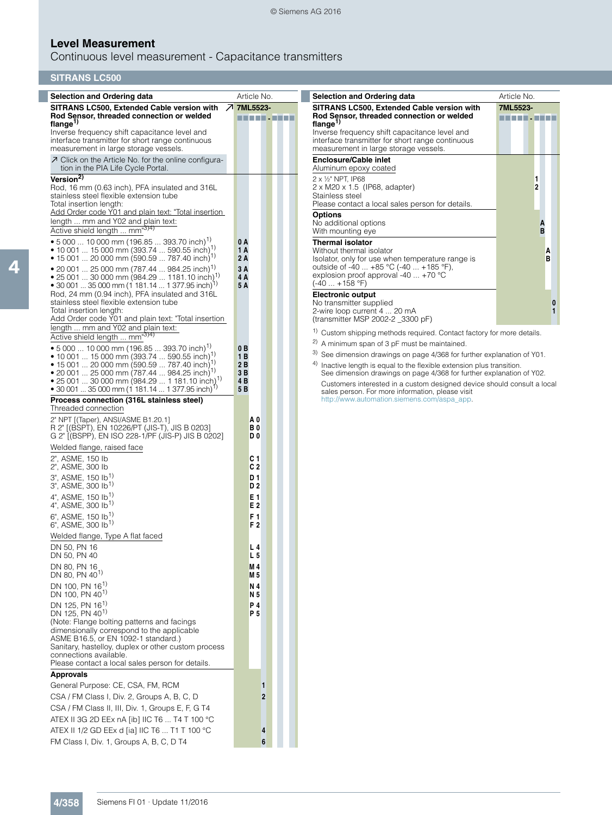# **Level Measurement**

Continuous level measurement - Capacitance transmitters

# **SITRANS LC500**

| <b>Selection and Ordering data</b>                                                                                       | Article No.                      | <b>Selection and Ordering data</b>                                                                                                                | Article No.         |
|--------------------------------------------------------------------------------------------------------------------------|----------------------------------|---------------------------------------------------------------------------------------------------------------------------------------------------|---------------------|
| SITRANS LC500, Extended Cable version with 7 7ML5523-                                                                    |                                  | SITRANS LC500, Extended Cable version with                                                                                                        | 7ML5523-            |
| Rod Sensor, threaded connection or welded<br>flange $^{1)}$                                                              | .                                | Rod Sensor, threaded connection or welded<br>flange $^{\prime\prime}$                                                                             | .                   |
| Inverse frequency shift capacitance level and                                                                            |                                  | Inverse frequency shift capacitance level and                                                                                                     |                     |
| interface transmitter for short range continuous<br>measurement in large storage vessels.                                |                                  | interface transmitter for short range continuous<br>measurement in large storage vessels.                                                         |                     |
| ○ Click on the Article No. for the online configura-                                                                     |                                  | <b>Enclosure/Cable inlet</b>                                                                                                                      |                     |
| tion in the PIA Life Cycle Portal.                                                                                       |                                  | Aluminum epoxy coated                                                                                                                             |                     |
| Version <sup>2)</sup><br>Rod, 16 mm (0.63 inch), PFA insulated and 316L                                                  |                                  | 2 x 1/2" NPT, IP68<br>$2 \times M20 \times 1.5$ (IP68, adapter)                                                                                   | 1<br>$\overline{2}$ |
| stainless steel flexible extension tube                                                                                  |                                  | Stainless steel                                                                                                                                   |                     |
| Total insertion length:<br>Add Order code Y01 and plain text: "Total insertion                                           |                                  | Please contact a local sales person for details.                                                                                                  |                     |
| length  mm and Y02 and plain text:                                                                                       |                                  | <b>Options</b><br>No additional options                                                                                                           | Α                   |
| Active shield length  mm <sup>3)4)</sup>                                                                                 |                                  | With mounting eye                                                                                                                                 | B                   |
| • 5 000  10 000 mm (196.85  393.70 inch) <sup>1)</sup><br>• 10 001  15 000 mm (393.74  590.55 inch) <sup>1)</sup>        | 0 A<br>1 A                       | <b>Thermal isolator</b><br>Without thermal isolator                                                                                               |                     |
| • 15 001  20 000 mm (590.59  787.40 inch) <sup>1)</sup>                                                                  | 2 A                              | Isolator, only for use when temperature range is                                                                                                  | A<br>B              |
| • 20 001  25 000 mm (787.44  984.25 inch) <sup>1)</sup>                                                                  | 3A                               | outside of -40  +85 °C (-40  +185 °F),<br>explosion proof approval -40 $\dots$ +70 °C                                                             |                     |
| • 25 001  30 000 mm (984.29  1181.10 inch) <sup>1)</sup><br>• 30 001  35 000 mm (1 181.14  1 377.95 inch) <sup>1)</sup>  | 4 A<br>5 A                       | $(-40 +158$ °F)                                                                                                                                   |                     |
| Rod, 24 mm (0.94 inch), PFA insulated and 316L                                                                           |                                  | <b>Electronic output</b>                                                                                                                          |                     |
| stainless steel flexible extension tube<br>Total insertion length:                                                       |                                  | No transmitter supplied<br>2-wire loop current 4  20 mA                                                                                           | 0<br>1              |
| Add Order code Y01 and plain text: "Total insertion                                                                      |                                  | (transmitter MSP 2002-2 3300 pF)                                                                                                                  |                     |
| length  mm and Y02 and plain text:<br>Active shield length  mm <sup>"3)4)</sup>                                          |                                  | <sup>1)</sup> Custom shipping methods required. Contact factory for more details.                                                                 |                     |
| • 5 000  10 000 mm (196.85  393.70 inch) <sup>1)</sup>                                                                   | 0B                               | <sup>2)</sup> A minimum span of 3 pF must be maintained.                                                                                          |                     |
| • 10 001  15 000 mm (393.74  590.55 inch) <sup>1)</sup><br>• 15 001  20 000 mm (590.59  787.40 inch) <sup>1)</sup>       | 1B<br>2B                         | <sup>3)</sup> See dimension drawings on page 4/368 for further explanation of Y01.                                                                |                     |
| • 20 001  25 000 mm (787.44  984.25 inch) <sup>1)</sup>                                                                  | 3B                               | Inactive length is equal to the flexible extension plus transition.<br>4)<br>See dimension drawings on page 4/368 for further explanation of Y02. |                     |
| • 25 001  30 000 mm (984.29  1 181.10 inch) <sup>1)</sup><br>• 30 001  35 000 mm (1 181.14  1 377.95 inch) <sup>1)</sup> | 4B<br>5B                         | Customers interested in a custom designed device should consult a local                                                                           |                     |
| Process connection (316L stainless steel)                                                                                |                                  | sales person. For more information, please visit<br>http://www.automation.siemens.com/aspa_app.                                                   |                     |
| Threaded connection                                                                                                      |                                  |                                                                                                                                                   |                     |
| 2" NPT [(Taper), ANSI/ASME B1.20.1]<br>R 2" ((BSPT), EN 10226/PT (JIS-T), JIS B 0203]                                    | A <sub>0</sub><br>B <sub>0</sub> |                                                                                                                                                   |                     |
| G 2" [(BSPP), EN ISO 228-1/PF (JIS-P) JIS B 0202]                                                                        | D <sub>0</sub>                   |                                                                                                                                                   |                     |
| Welded flange, raised face                                                                                               |                                  |                                                                                                                                                   |                     |
| 2", ASME, 150 lb<br>2", ASME, 300 lb                                                                                     | C <sub>1</sub><br>C <sub>2</sub> |                                                                                                                                                   |                     |
| 3", ASME, 150 lb <sup>1)</sup>                                                                                           | D 1                              |                                                                                                                                                   |                     |
| 3", ASME, 300 lb <sup>1)</sup>                                                                                           | D <sub>2</sub>                   |                                                                                                                                                   |                     |
| 4", ASME, 150 lb <sup>1)</sup><br>$4^{\circ}$ , ASME, 300 lb <sup>1)</sup>                                               | E 1<br>E 2                       |                                                                                                                                                   |                     |
| $6$ ", ASME, 150 lb <sup>1)</sup>                                                                                        | F 1                              |                                                                                                                                                   |                     |
| $6"$ , ASME, 300 lb <sup>1)</sup>                                                                                        | F <sub>2</sub>                   |                                                                                                                                                   |                     |
| Welded flange, Type A flat faced                                                                                         |                                  |                                                                                                                                                   |                     |
| DN 50, PN 16<br>DN 50, PN 40                                                                                             | L 4<br>L <sub>5</sub>            |                                                                                                                                                   |                     |
| DN 80, PN 16                                                                                                             | <b>M4</b>                        |                                                                                                                                                   |                     |
| DN 80, PN 40 <sup>1)</sup>                                                                                               | <b>M5</b>                        |                                                                                                                                                   |                     |
| DN 100, PN 16 <sup>1)</sup><br>DN 100. PN 40 <sup>1)</sup>                                                               | N 4<br>N 5                       |                                                                                                                                                   |                     |
| DN 125, PN 16 <sup>1)</sup>                                                                                              | P 4                              |                                                                                                                                                   |                     |
| DN 125, PN 40 <sup>1)</sup>                                                                                              | P 5                              |                                                                                                                                                   |                     |
| (Note: Flange bolting patterns and facings<br>dimensionally correspond to the applicable                                 |                                  |                                                                                                                                                   |                     |
| ASME B16.5, or EN 1092-1 standard.)<br>Sanitary, hastelloy, duplex or other custom process                               |                                  |                                                                                                                                                   |                     |
| connections available.                                                                                                   |                                  |                                                                                                                                                   |                     |
| Please contact a local sales person for details.                                                                         |                                  |                                                                                                                                                   |                     |
| <b>Approvals</b>                                                                                                         |                                  |                                                                                                                                                   |                     |
| General Purpose: CE, CSA, FM, RCM<br>CSA / FM Class I, Div. 2, Groups A, B, C, D                                         | 1<br>$\overline{2}$              |                                                                                                                                                   |                     |
| CSA / FM Class II, III, Div. 1, Groups E, F, G T4                                                                        |                                  |                                                                                                                                                   |                     |
| ATEX II 3G 2D EEx nA [ib] IIC T6  T4 T 100 °C                                                                            |                                  |                                                                                                                                                   |                     |
| ATEX II 1/2 GD EEx d [ia] IIC T6  T1 T 100 °C                                                                            | 4                                |                                                                                                                                                   |                     |
| FM Class I, Div. 1, Groups A, B, C, D T4                                                                                 | 6                                |                                                                                                                                                   |                     |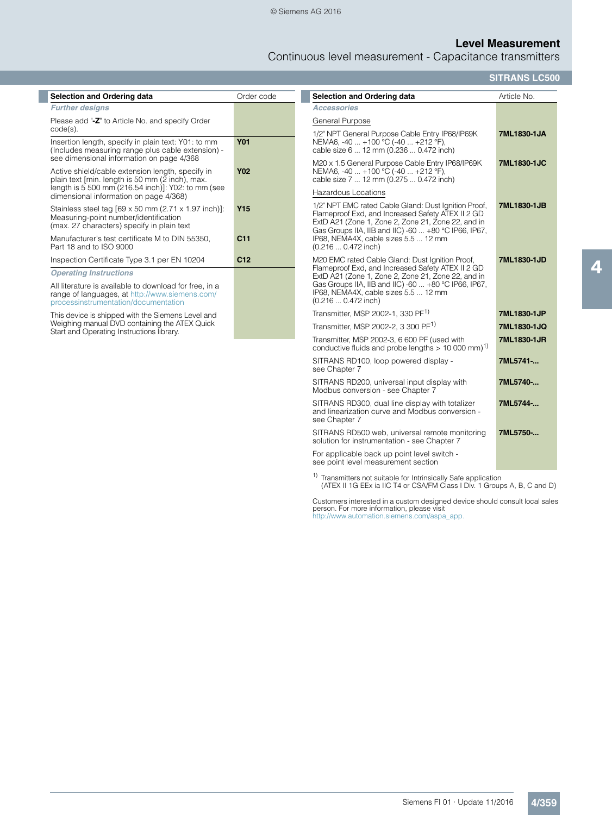# **Level Measurement**

Continuous level measurement - Capacitance transmitters

**SITRANS LC500**

| Selection and Ordering data                                                                                                                                          | Order code      | Selection and Ordering data                                                                                                                                                                                             | Article No. |
|----------------------------------------------------------------------------------------------------------------------------------------------------------------------|-----------------|-------------------------------------------------------------------------------------------------------------------------------------------------------------------------------------------------------------------------|-------------|
| <b>Further designs</b>                                                                                                                                               |                 | <b>Accessories</b>                                                                                                                                                                                                      |             |
| Please add "-Z" to Article No. and specify Order                                                                                                                     |                 | General Purpose                                                                                                                                                                                                         |             |
| $code(s)$ .<br>Insertion length, specify in plain text: Y01: to mm<br>(Includes measuring range plus cable extension) -<br>see dimensional information on page 4/368 | <b>Y01</b>      | 1/2" NPT General Purpose Cable Entry IP68/IP69K<br>NEMA6, -40  +100 °C (-40  +212 °F),<br>cable size 6  12 mm (0.236  0.472 inch)                                                                                       | 7ML1830-1JA |
| Active shield/cable extension length, specify in<br>plain text [min. length is 50 mm (2 inch), max.<br>length is 5 500 mm (216.54 inch)]: Y02: to mm (see            | <b>Y02</b>      | M20 x 1.5 General Purpose Cable Entry IP68/IP69K<br>NEMA6, -40  +100 °C (-40  +212 °F),<br>cable size 7  12 mm (0.275  0.472 inch)                                                                                      | 7ML1830-1JC |
| dimensional information on page 4/368)                                                                                                                               |                 | Hazardous Locations                                                                                                                                                                                                     |             |
| Stainless steel tag [69 x 50 mm (2.71 x 1.97 inch)]:<br>Measuring-point number/identification<br>(max. 27 characters) specify in plain text                          | <b>Y15</b>      | 1/2" NPT EMC rated Cable Gland: Dust Ignition Proof,<br>Flameproof Exd, and Increased Safety ATEX II 2 GD<br>ExtD A21 (Zone 1, Zone 2, Zone 21, Zone 22, and in<br>Gas Groups IIA, IIB and IIC) -60  +80 °C IP66, IP67, | 7ML1830-1JB |
| Manufacturer's test certificate M to DIN 55350.<br>Part 18 and to ISO 9000                                                                                           | C <sub>11</sub> | IP68, NEMA4X, cable sizes 5.5  12 mm<br>$(0.2160.472$ inch)                                                                                                                                                             |             |
| Inspection Certificate Type 3.1 per EN 10204                                                                                                                         | C <sub>12</sub> | M20 EMC rated Cable Gland: Dust Ignition Proof,                                                                                                                                                                         | 7ML1830-1JD |
| <b>Operating Instructions</b>                                                                                                                                        |                 | Flameproof Exd, and Increased Safety ATEX II 2 GD<br>ExtD A21 (Zone 1, Zone 2, Zone 21, Zone 22, and in                                                                                                                 |             |
| All literature is available to download for free, in a<br>range of languages, at http://www.siemens.com/<br>processinstrumentation/documentation                     |                 | Gas Groups IIA, IIB and IIC) -60  +80 °C IP66, IP67,<br>IP68, NEMA4X, cable sizes 5.5  12 mm<br>$(0.216 0.472$ inch)                                                                                                    |             |
| This device is shipped with the Siemens Level and                                                                                                                    |                 | Transmitter, MSP 2002-1, 330 PF <sup>1)</sup>                                                                                                                                                                           | 7ML1830-1JP |
| Weighing manual DVD containing the ATEX Quick<br>Start and Operating Instructions library.                                                                           |                 | Transmitter, MSP 2002-2, 3 300 PF <sup>1)</sup>                                                                                                                                                                         | 7ML1830-1JQ |
|                                                                                                                                                                      |                 | Transmitter, MSP 2002-3, 6 600 PF (used with<br>conductive fluids and probe lengths $> 10000$ mm) <sup>1)</sup>                                                                                                         | 7ML1830-1JR |
|                                                                                                                                                                      |                 | SITRANS RD100, loop powered display -<br>see Chapter 7                                                                                                                                                                  | 7ML5741-    |
|                                                                                                                                                                      |                 | SITRANS RD200, universal input display with<br>Modbus conversion - see Chapter 7                                                                                                                                        | 7ML5740-    |
|                                                                                                                                                                      |                 | SITRANS RD300, dual line display with totalizer<br>and linearization curve and Modbus conversion -<br>see Chapter 7                                                                                                     | 7ML5744-    |
|                                                                                                                                                                      |                 | SITRANS RD500 web, universal remote monitoring<br>solution for instrumentation - see Chapter 7                                                                                                                          | 7ML5750-    |

For applicable back up point level switch - see point level measurement section

<sup>1)</sup> Transmitters not suitable for Intrinsically Safe application (ATEX II 1G EEx ia IIC T4 or CSA/FM Class I Div. 1 Groups A, B, C and D)

Customers interested in a custom designed device should consult local sales person. For more information, please visit http://www.automation.siemens.com/aspa\_app.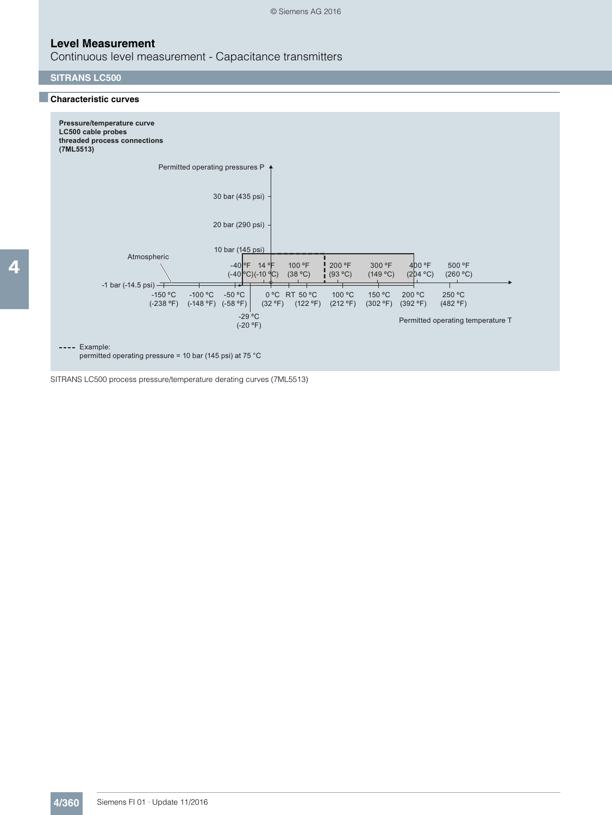Continuous level measurement - Capacitance transmitters

## **SITRANS LC500**

## ■**Characteristic curves**



---- Example:

permitted operating pressure = 10 bar (145 psi) at 75 °C

SITRANS LC500 process pressure/temperature derating curves (7ML5513)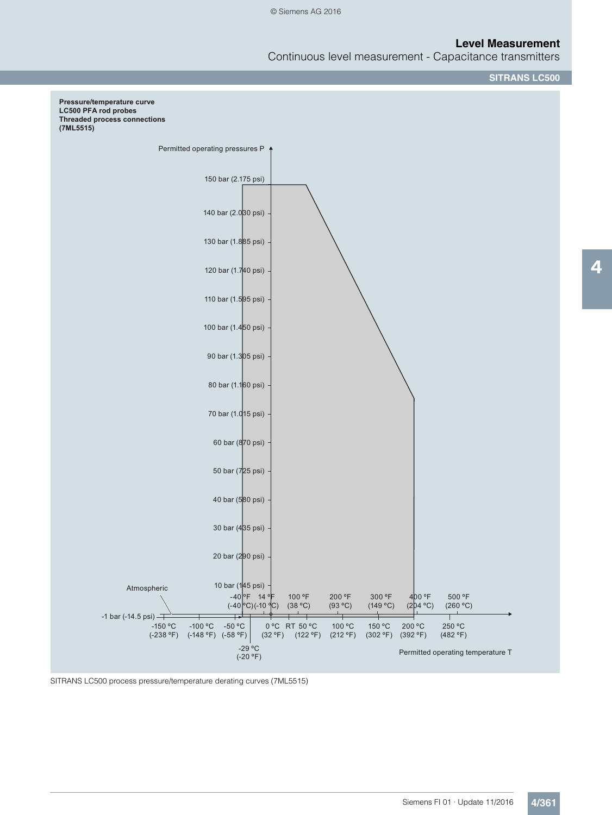Continuous level measurement - Capacitance transmitters

**SITRANS LC500**



SITRANS LC500 process pressure/temperature derating curves (7ML5515)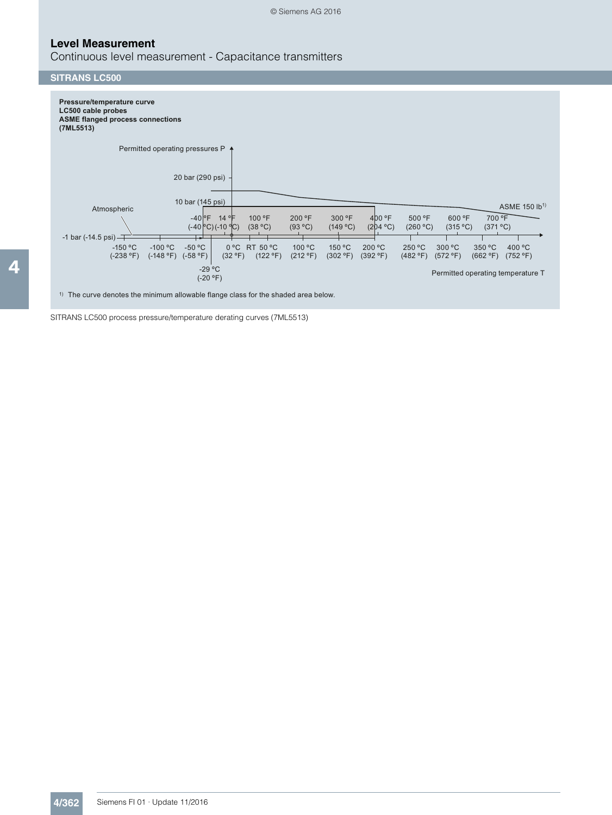## **Level Measurement**

Continuous level measurement - Capacitance transmitters

#### **SITRANS LC500**



 $1)$  The curve denotes the minimum allowable flange class for the shaded area below.

SITRANS LC500 process pressure/temperature derating curves (7ML5513)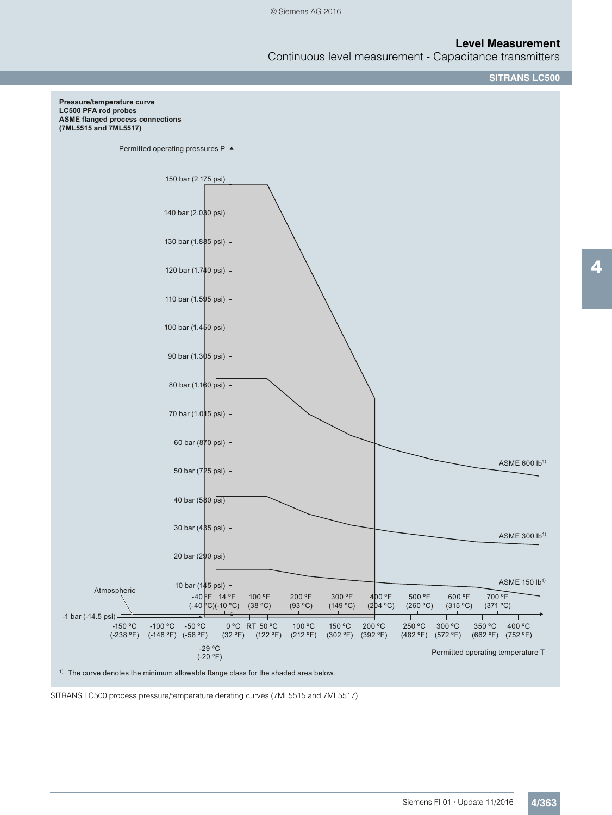Continuous level measurement - Capacitance transmitters

**SITRANS LC500**



 $1)$  The curve denotes the minimum allowable flange class for the shaded area below.

SITRANS LC500 process pressure/temperature derating curves (7ML5515 and 7ML5517)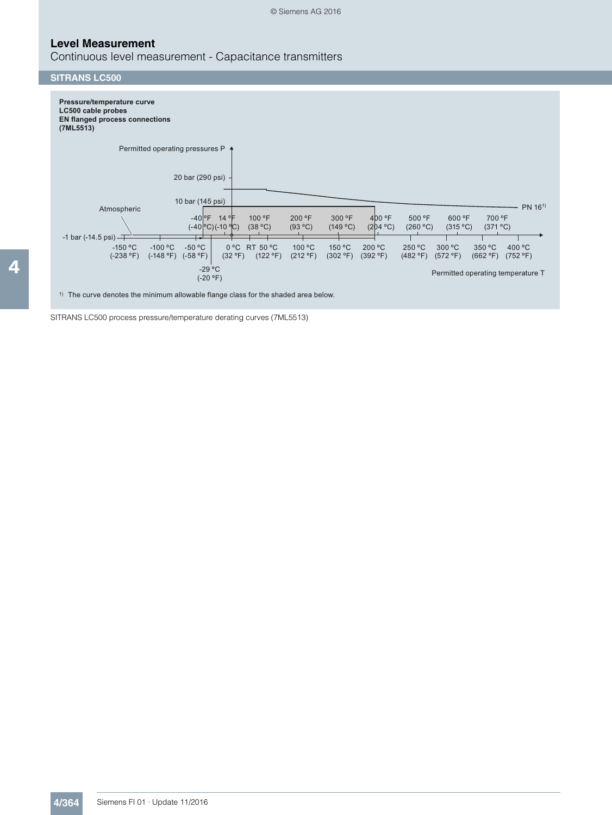## **Level Measurement**

Continuous level measurement - Capacitance transmitters

# **SITRANS LC500**



 $1)$  The curve denotes the minimum allowable flange class for the shaded area below.

SITRANS LC500 process pressure/temperature derating curves (7ML5513)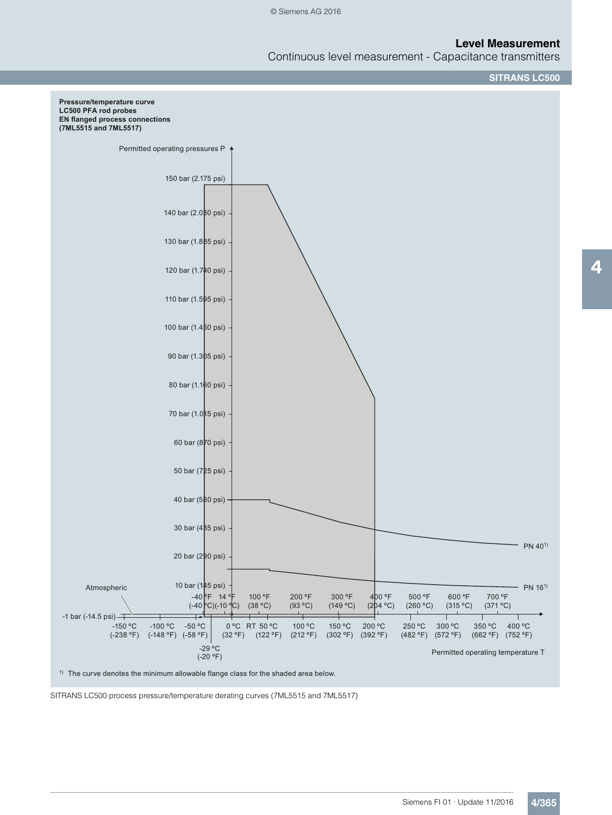Continuous level measurement - Capacitance transmitters

**SITRANS LC500**



 $1)$  The curve denotes the minimum allowable flange class for the shaded area below.

SITRANS LC500 process pressure/temperature derating curves (7ML5515 and 7ML5517)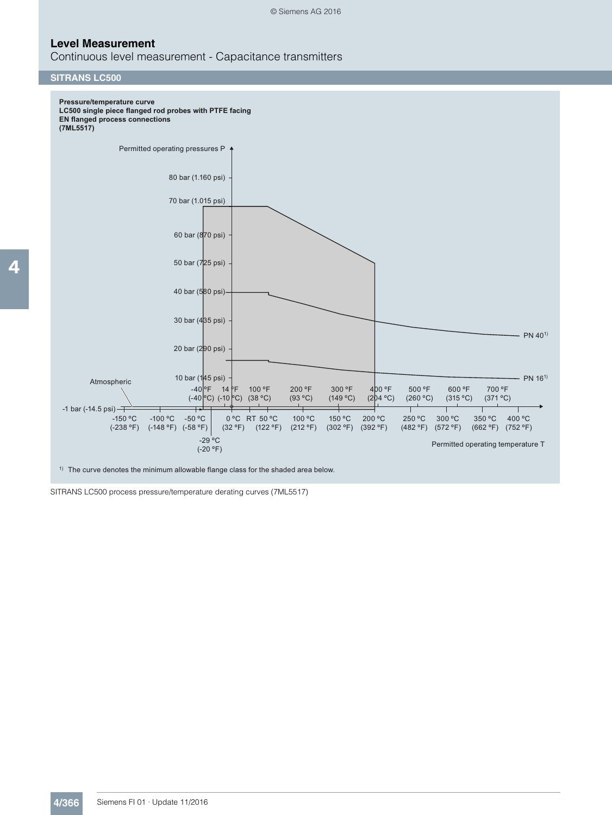Continuous level measurement - Capacitance transmitters

#### **SITRANS LC500**



 $1)$  The curve denotes the minimum allowable flange class for the shaded area below.

SITRANS LC500 process pressure/temperature derating curves (7ML5517)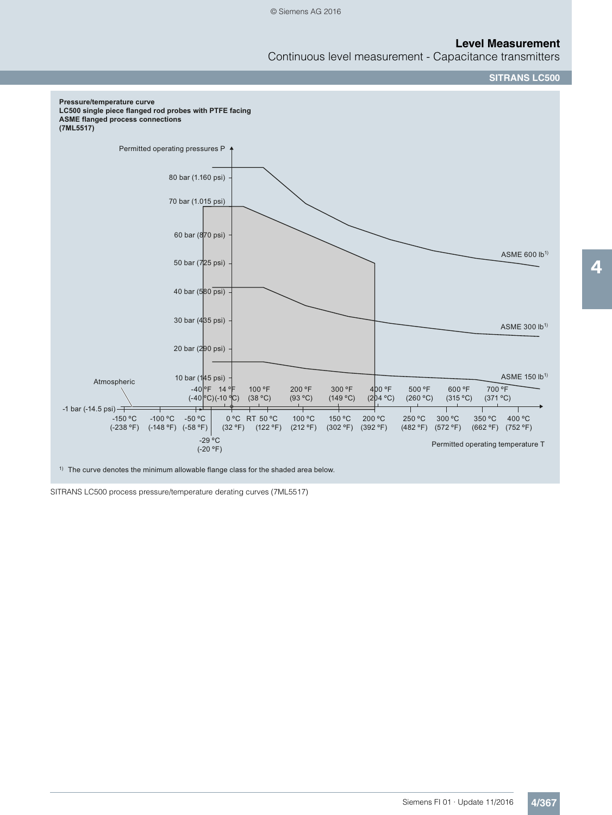Continuous level measurement - Capacitance transmitters





 $1)$  The curve denotes the minimum allowable flange class for the shaded area below.

SITRANS LC500 process pressure/temperature derating curves (7ML5517)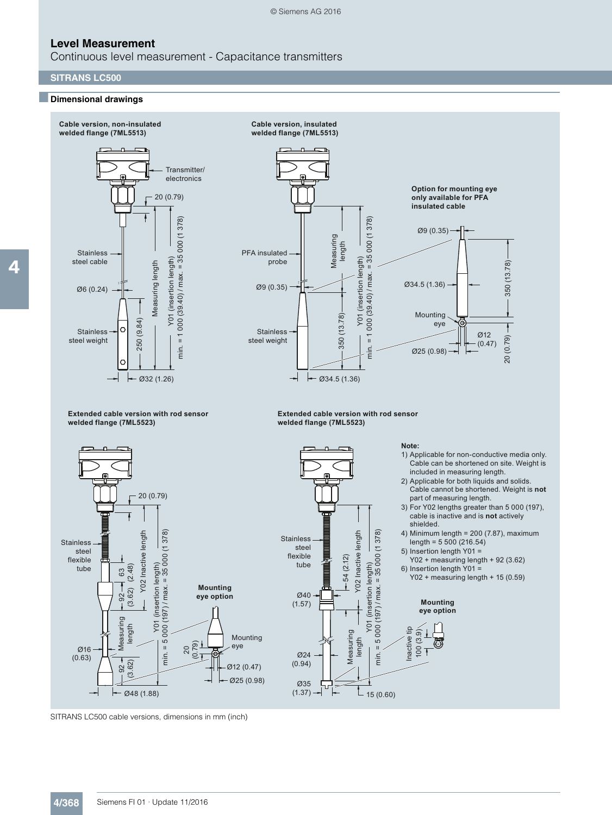Continuous level measurement - Capacitance transmitters

#### **SITRANS LC500**

## ■**Dimensional drawings**



SITRANS LC500 cable versions, dimensions in mm (inch)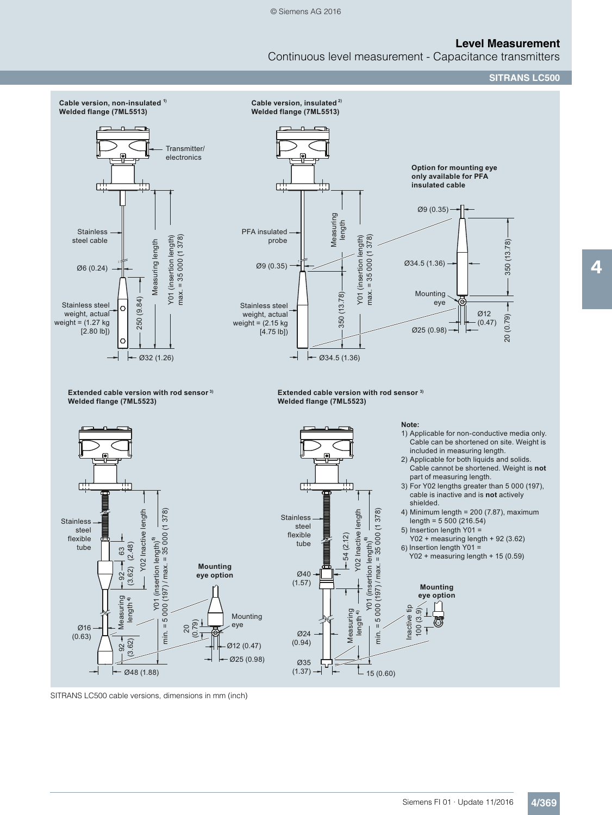Continuous level measurement - Capacitance transmitters

**SITRANS LC500**



 $(1.37) -$ 

 $-15(0.60)$ 

SITRANS LC500 cable versions, dimensions in mm (inch)

 $-$  Ø48 (1.88)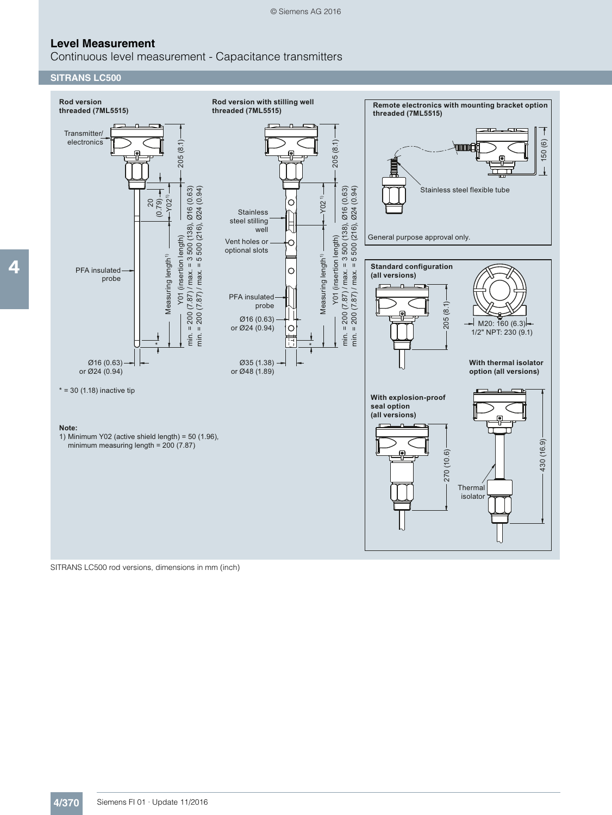Continuous level measurement - Capacitance transmitters

## **SITRANS LC500**



SITRANS LC500 rod versions, dimensions in mm (inch)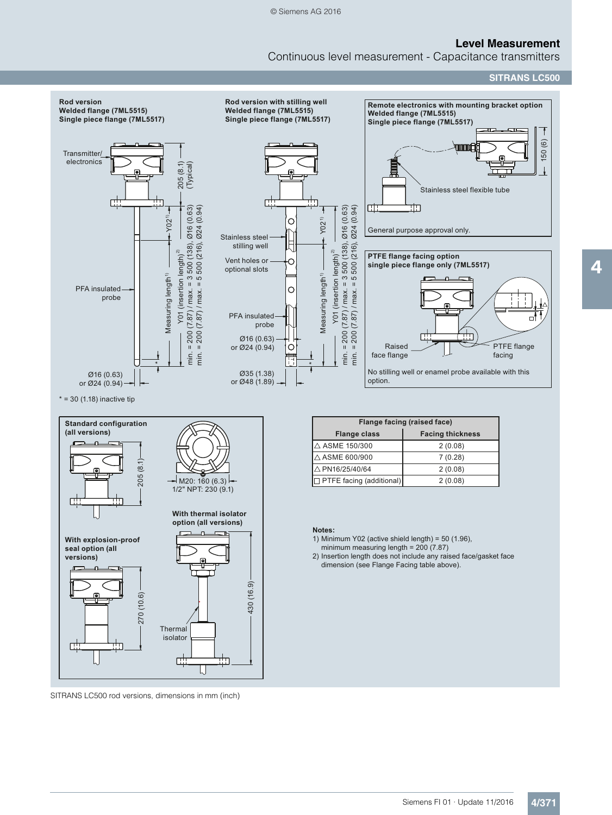Continuous level measurement - Capacitance transmitters

**SITRANS LC500**



SITRANS LC500 rod versions, dimensions in mm (inch)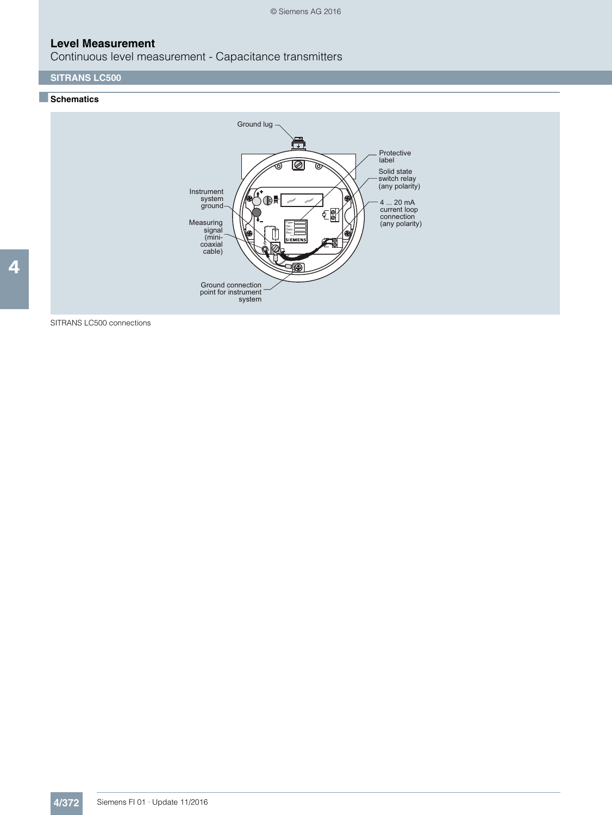Continuous level measurement - Capacitance transmitters

# **SITRANS LC500**

# ■**Schematics**



SITRANS LC500 connections